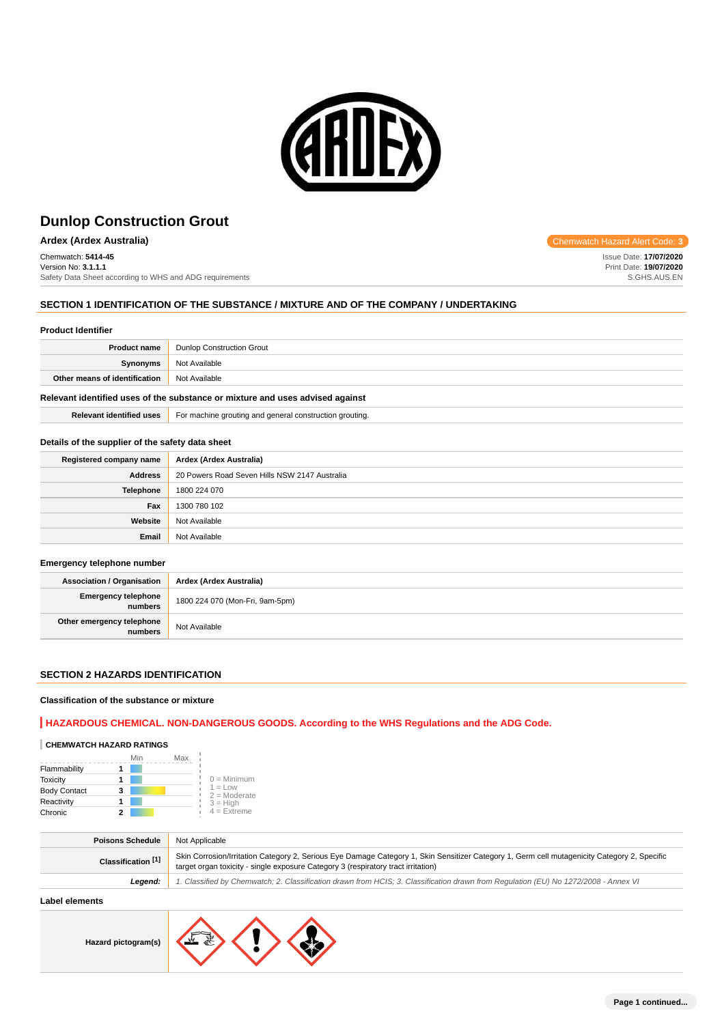

# **Ardex (Ardex Australia)** Chemwatch Hazard Alert Code: **3**

Chemwatch: **5414-45** Version No: **3.1.1.1** Safety Data Sheet according to WHS and ADG requirements

## **SECTION 1 IDENTIFICATION OF THE SUBSTANCE / MIXTURE AND OF THE COMPANY / UNDERTAKING**

#### **Product Identifier**

| <b>Product name</b>           | <b>Dunlop Construction Grout</b> |
|-------------------------------|----------------------------------|
| Synonyms                      | Not Available                    |
| Other means of identification | Not Available                    |
|                               |                                  |

# **Relevant identified uses of the substance or mixture and uses advised against**

**Relevant identified uses** For machine grouting and general construction grouting.

### **Details of the supplier of the safety data sheet**

| Registered company name | Ardex (Ardex Australia)                       |
|-------------------------|-----------------------------------------------|
| <b>Address</b>          | 20 Powers Road Seven Hills NSW 2147 Australia |
| <b>Telephone</b>        | 1800 224 070                                  |
| Fax                     | 1300 780 102                                  |
| Website                 | Not Available                                 |
| Email                   | Not Available                                 |

### **Emergency telephone number**

| <b>Association / Organisation</b>    | Ardex (Ardex Australia)         |
|--------------------------------------|---------------------------------|
| Emergency telephone<br>numbers       | 1800 224 070 (Mon-Fri, 9am-5pm) |
| Other emergency telephone<br>numbers | Not Available                   |

## **SECTION 2 HAZARDS IDENTIFICATION**

## **Classification of the substance or mixture**

## **HAZARDOUS CHEMICAL. NON-DANGEROUS GOODS. According to the WHS Regulations and the ADG Code.**

# **CHEMWATCH HAZARD RATINGS**

|                     | Min | Max |                             |
|---------------------|-----|-----|-----------------------------|
| Flammability        |     |     |                             |
| <b>Toxicity</b>     |     |     | $0 =$ Minimum               |
| <b>Body Contact</b> | 3   |     | $1 = Low$<br>$2 =$ Moderate |
| Reactivity          |     |     | $3 = High$                  |
| Chronic             |     |     | $4$ = Extreme               |

| <b>Poisons Schedule</b>       | Not Applicable                                                                                                                                                                                                                    |
|-------------------------------|-----------------------------------------------------------------------------------------------------------------------------------------------------------------------------------------------------------------------------------|
| Classification <sup>[1]</sup> | Skin Corrosion/Irritation Category 2, Serious Eye Damage Category 1, Skin Sensitizer Category 1, Germ cell mutagenicity Category 2, Specific<br>target organ toxicity - single exposure Category 3 (respiratory tract irritation) |
| Leaend:                       | 1. Classified by Chemwatch; 2. Classification drawn from HCIS; 3. Classification drawn from Regulation (EU) No 1272/2008 - Annex VI                                                                                               |
|                               |                                                                                                                                                                                                                                   |

## **Label elements**

**Hazard pictogram(s)**



Issue Date: **17/07/2020** Print Date: **19/07/2020** S.GHS.AUS.EN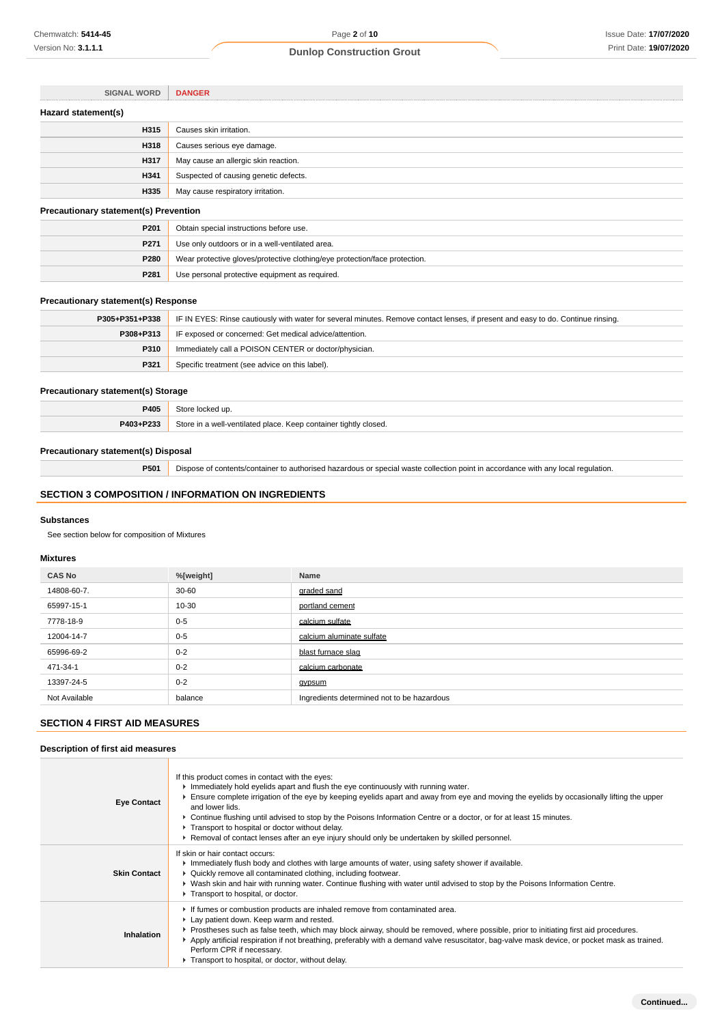| <b>SIGNAL WORD</b>                           | <b>DANGER</b>                                                              |  |
|----------------------------------------------|----------------------------------------------------------------------------|--|
| Hazard statement(s)                          |                                                                            |  |
| H315                                         | Causes skin irritation.                                                    |  |
| H318                                         | Causes serious eye damage.                                                 |  |
| H317                                         | May cause an allergic skin reaction.                                       |  |
| H341                                         | Suspected of causing genetic defects.                                      |  |
| H335                                         | May cause respiratory irritation.                                          |  |
| <b>Precautionary statement(s) Prevention</b> |                                                                            |  |
| P201                                         | Obtain special instructions before use.                                    |  |
| P271                                         | Use only outdoors or in a well-ventilated area.                            |  |
| P280                                         | Wear protective gloves/protective clothing/eye protection/face protection. |  |

## **Precautionary statement(s) Response**

| P305+P351+P338 | IF IN EYES: Rinse cautiously with water for several minutes. Remove contact lenses, if present and easy to do. Continue rinsing. |
|----------------|----------------------------------------------------------------------------------------------------------------------------------|
| P308+P313      | IF exposed or concerned: Get medical advice/attention.                                                                           |
| P310           | Immediately call a POISON CENTER or doctor/physician.                                                                            |
| P321           | Specific treatment (see advice on this label).                                                                                   |

# **Precautionary statement(s) Storage**

| P405      | l up                                                                  |
|-----------|-----------------------------------------------------------------------|
| P403+P233 | Store in a well-ventilated place.<br>. Keep container tightly closed. |

## **Precautionary statement(s) Disposal**

**P501** Dispose of contents/container to authorised hazardous or special waste collection point in accordance with any local regulation.

## **SECTION 3 COMPOSITION / INFORMATION ON INGREDIENTS**

**P281** Use personal protective equipment as required.

#### **Substances**

See section below for composition of Mixtures

#### **Mixtures**

| <b>CAS No</b> | %[weight] | Name                                       |
|---------------|-----------|--------------------------------------------|
| 14808-60-7.   | $30 - 60$ | graded sand                                |
| 65997-15-1    | 10-30     | portland cement                            |
| 7778-18-9     | $0 - 5$   | calcium sulfate                            |
| 12004-14-7    | $0 - 5$   | calcium aluminate sulfate                  |
| 65996-69-2    | $0 - 2$   | blast furnace slag                         |
| 471-34-1      | $0 - 2$   | calcium carbonate                          |
| 13397-24-5    | $0 - 2$   | <b>gypsum</b>                              |
| Not Available | balance   | Ingredients determined not to be hazardous |

## **SECTION 4 FIRST AID MEASURES**

## **Description of first aid measures**

| <b>Eye Contact</b>  | If this product comes in contact with the eyes:<br>$\blacktriangleright$ Immediately hold eyelids apart and flush the eye continuously with running water.<br>Ensure complete irrigation of the eye by keeping eyelids apart and away from eye and moving the eyelids by occasionally lifting the upper<br>and lower lids.<br>▶ Continue flushing until advised to stop by the Poisons Information Centre or a doctor, or for at least 15 minutes.<br>Transport to hospital or doctor without delay.<br>▶ Removal of contact lenses after an eye injury should only be undertaken by skilled personnel. |
|---------------------|---------------------------------------------------------------------------------------------------------------------------------------------------------------------------------------------------------------------------------------------------------------------------------------------------------------------------------------------------------------------------------------------------------------------------------------------------------------------------------------------------------------------------------------------------------------------------------------------------------|
| <b>Skin Contact</b> | If skin or hair contact occurs:<br>Immediately flush body and clothes with large amounts of water, using safety shower if available.<br>▶ Quickly remove all contaminated clothing, including footwear.<br>► Wash skin and hair with running water. Continue flushing with water until advised to stop by the Poisons Information Centre.<br>Transport to hospital, or doctor.                                                                                                                                                                                                                          |
| Inhalation          | If fumes or combustion products are inhaled remove from contaminated area.<br>Lay patient down. Keep warm and rested.<br>Prostheses such as false teeth, which may block airway, should be removed, where possible, prior to initiating first aid procedures.<br>Apply artificial respiration if not breathing, preferably with a demand valve resuscitator, bag-valve mask device, or pocket mask as trained.<br>Perform CPR if necessary.<br>Transport to hospital, or doctor, without delay.                                                                                                         |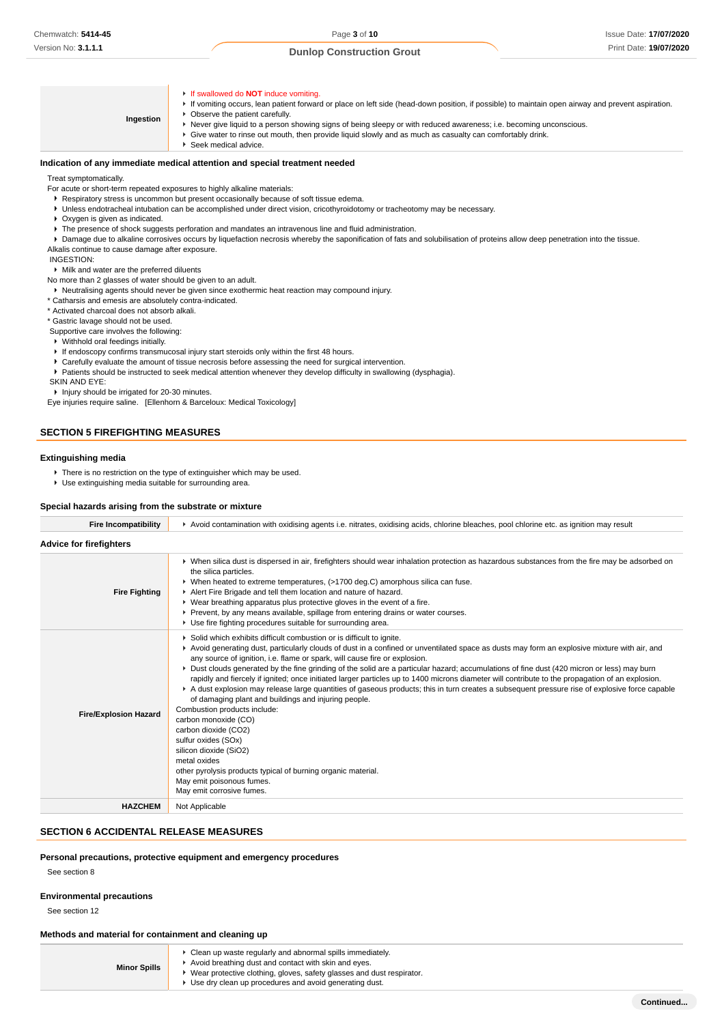**Ingestion** If swallowed do **NOT** induce vomiting. If vomiting occurs, lean patient forward or place on left side (head-down position, if possible) to maintain open airway and prevent aspiration. **• Observe the patient carefully.** Never give liquid to a person showing signs of being sleepy or with reduced awareness; i.e. becoming unconscious. Give water to rinse out mouth, then provide liquid slowly and as much as casualty can comfortably drink. Seek medical advice.

### **Indication of any immediate medical attention and special treatment needed**

#### Treat symptomatically.

For acute or short-term repeated exposures to highly alkaline materials:

- Respiratory stress is uncommon but present occasionally because of soft tissue edema.
- Unless endotracheal intubation can be accomplished under direct vision, cricothyroidotomy or tracheotomy may be necessary.
- Oxygen is given as indicated.
- The presence of shock suggests perforation and mandates an intravenous line and fluid administration.
- **P** Damage due to alkaline corrosives occurs by liquefaction necrosis whereby the saponification of fats and solubilisation of proteins allow deep penetration into the tissue.
- Alkalis continue to cause damage after exposure.

### INGESTION:

Milk and water are the preferred diluents

No more than 2 glasses of water should be given to an adult.

Neutralising agents should never be given since exothermic heat reaction may compound injury.

\* Catharsis and emesis are absolutely contra-indicated.

\* Activated charcoal does not absorb alkali.

\* Gastric lavage should not be used.

- Supportive care involves the following:
- Withhold oral feedings initially.
- If endoscopy confirms transmucosal injury start steroids only within the first 48 hours.
- Carefully evaluate the amount of tissue necrosis before assessing the need for surgical intervention.
- Patients should be instructed to seek medical attention whenever they develop difficulty in swallowing (dysphagia).
- SKIN AND EYE:

**Injury should be irrigated for 20-30 minutes.** 

Eye injuries require saline. [Ellenhorn & Barceloux: Medical Toxicology]

## **SECTION 5 FIREFIGHTING MEASURES**

## **Extinguishing media**

- There is no restriction on the type of extinguisher which may be used.
- Use extinguishing media suitable for surrounding area.

#### **Special hazards arising from the substrate or mixture**

| <b>Fire Incompatibility</b>    | Avoid contamination with oxidising agents i.e. nitrates, oxidising acids, chlorine bleaches, pool chlorine etc. as ignition may result                                                                                                                                                                                                                                                                                                                                                                                                                                                                                                                                                                                                                                                                                                                                                                                                                                                                                                                                                      |  |  |
|--------------------------------|---------------------------------------------------------------------------------------------------------------------------------------------------------------------------------------------------------------------------------------------------------------------------------------------------------------------------------------------------------------------------------------------------------------------------------------------------------------------------------------------------------------------------------------------------------------------------------------------------------------------------------------------------------------------------------------------------------------------------------------------------------------------------------------------------------------------------------------------------------------------------------------------------------------------------------------------------------------------------------------------------------------------------------------------------------------------------------------------|--|--|
| <b>Advice for firefighters</b> |                                                                                                                                                                                                                                                                                                                                                                                                                                                                                                                                                                                                                                                                                                                                                                                                                                                                                                                                                                                                                                                                                             |  |  |
| <b>Fire Fighting</b>           | ▶ When silica dust is dispersed in air, firefighters should wear inhalation protection as hazardous substances from the fire may be adsorbed on<br>the silica particles.<br>► When heated to extreme temperatures, (>1700 deg.C) amorphous silica can fuse.<br>Alert Fire Brigade and tell them location and nature of hazard.<br>• Wear breathing apparatus plus protective gloves in the event of a fire.<br>Prevent, by any means available, spillage from entering drains or water courses.<br>▶ Use fire fighting procedures suitable for surrounding area.                                                                                                                                                                                                                                                                                                                                                                                                                                                                                                                            |  |  |
| <b>Fire/Explosion Hazard</b>   | Solid which exhibits difficult combustion or is difficult to ignite.<br>▶ Avoid generating dust, particularly clouds of dust in a confined or unventilated space as dusts may form an explosive mixture with air, and<br>any source of ignition, i.e. flame or spark, will cause fire or explosion.<br>▶ Dust clouds generated by the fine grinding of the solid are a particular hazard; accumulations of fine dust (420 micron or less) may burn<br>rapidly and fiercely if ignited; once initiated larger particles up to 1400 microns diameter will contribute to the propagation of an explosion.<br>A dust explosion may release large quantities of gaseous products; this in turn creates a subsequent pressure rise of explosive force capable<br>of damaging plant and buildings and injuring people.<br>Combustion products include:<br>carbon monoxide (CO)<br>carbon dioxide (CO2)<br>sulfur oxides (SOx)<br>silicon dioxide (SiO2)<br>metal oxides<br>other pyrolysis products typical of burning organic material.<br>May emit poisonous fumes.<br>May emit corrosive fumes. |  |  |
| <b>HAZCHEM</b>                 | Not Applicable                                                                                                                                                                                                                                                                                                                                                                                                                                                                                                                                                                                                                                                                                                                                                                                                                                                                                                                                                                                                                                                                              |  |  |

## **SECTION 6 ACCIDENTAL RELEASE MEASURES**

### **Personal precautions, protective equipment and emergency procedures**

See section 8

### **Environmental precautions**

See section 12

### **Methods and material for containment and cleaning up**

| <b>Minor Spills</b> | Clean up waste regularly and abnormal spills immediately.<br>Avoid breathing dust and contact with skin and eyes.               |
|---------------------|---------------------------------------------------------------------------------------------------------------------------------|
|                     | Wear protective clothing, gloves, safety glasses and dust respirator.<br>Use dry clean up procedures and avoid generating dust. |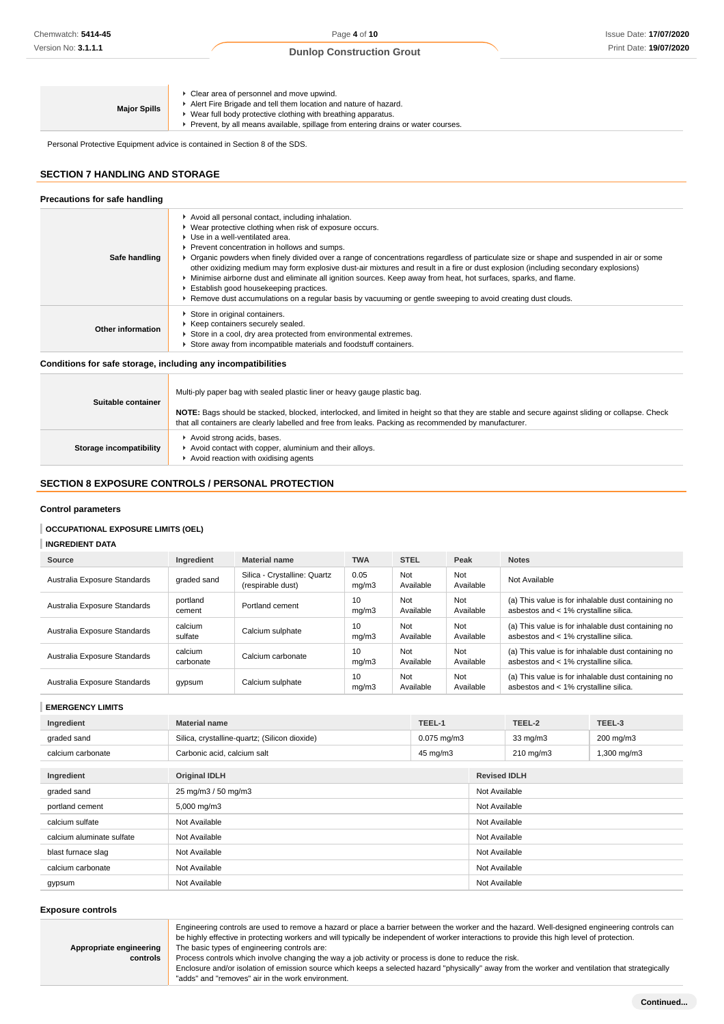| • Clear area of personnel and move upwind.<br>Alert Fire Brigade and tell them location and nature of hazard.<br><b>Major Spills</b><br>▶ Wear full body protective clothing with breathing apparatus.<br>► Prevent, by all means available, spillage from entering drains or water courses. |
|----------------------------------------------------------------------------------------------------------------------------------------------------------------------------------------------------------------------------------------------------------------------------------------------|
|----------------------------------------------------------------------------------------------------------------------------------------------------------------------------------------------------------------------------------------------------------------------------------------------|

Personal Protective Equipment advice is contained in Section 8 of the SDS.

# **SECTION 7 HANDLING AND STORAGE**

| Precautions for safe handling |                                                                                                                                                                                                                                                                                                                                                                                                                                                                                                                                                                                                                                                                                                                                                                     |
|-------------------------------|---------------------------------------------------------------------------------------------------------------------------------------------------------------------------------------------------------------------------------------------------------------------------------------------------------------------------------------------------------------------------------------------------------------------------------------------------------------------------------------------------------------------------------------------------------------------------------------------------------------------------------------------------------------------------------------------------------------------------------------------------------------------|
| Safe handling                 | Avoid all personal contact, including inhalation.<br>• Wear protective clothing when risk of exposure occurs.<br>▶ Use in a well-ventilated area.<br>Prevent concentration in hollows and sumps.<br>► Organic powders when finely divided over a range of concentrations regardless of particulate size or shape and suspended in air or some<br>other oxidizing medium may form explosive dust-air mixtures and result in a fire or dust explosion (including secondary explosions)<br>Minimise airborne dust and eliminate all ignition sources. Keep away from heat, hot surfaces, sparks, and flame.<br>Establish good housekeeping practices.<br>▶ Remove dust accumulations on a regular basis by vacuuming or gentle sweeping to avoid creating dust clouds. |
| Other information             | Store in original containers.<br>▶ Keep containers securely sealed.<br>Store in a cool, dry area protected from environmental extremes.<br>Store away from incompatible materials and foodstuff containers.                                                                                                                                                                                                                                                                                                                                                                                                                                                                                                                                                         |

## **Conditions for safe storage, including any incompatibilities**

| Suitable container      | Multi-ply paper bag with sealed plastic liner or heavy gauge plastic bag.                                                                                                                                                                                |
|-------------------------|----------------------------------------------------------------------------------------------------------------------------------------------------------------------------------------------------------------------------------------------------------|
|                         | NOTE: Bags should be stacked, blocked, interlocked, and limited in height so that they are stable and secure against sliding or collapse. Check<br>that all containers are clearly labelled and free from leaks. Packing as recommended by manufacturer. |
| Storage incompatibility | Avoid strong acids, bases.<br>Avoid contact with copper, aluminium and their alloys.<br>Avoid reaction with oxidising agents                                                                                                                             |

# **SECTION 8 EXPOSURE CONTROLS / PERSONAL PROTECTION**

### **Control parameters**

## **OCCUPATIONAL EXPOSURE LIMITS (OEL)**

## **INGREDIENT DATA**

| Source                       | Ingredient           | <b>Material name</b>                              | <b>TWA</b>    | <b>STEL</b>      | Peak             | <b>Notes</b>                                                                                |
|------------------------------|----------------------|---------------------------------------------------|---------------|------------------|------------------|---------------------------------------------------------------------------------------------|
| Australia Exposure Standards | graded sand          | Silica - Crystalline: Quartz<br>(respirable dust) | 0.05<br>mq/m3 | Not<br>Available | Not<br>Available | Not Available                                                                               |
| Australia Exposure Standards | portland<br>cement   | Portland cement                                   | 10<br>mq/m3   | Not<br>Available | Not<br>Available | (a) This value is for inhalable dust containing no<br>asbestos and < 1% crystalline silica. |
| Australia Exposure Standards | calcium<br>sulfate   | Calcium sulphate                                  | 10<br>mq/m3   | Not<br>Available | Not<br>Available | (a) This value is for inhalable dust containing no<br>asbestos and < 1% crystalline silica. |
| Australia Exposure Standards | calcium<br>carbonate | Calcium carbonate                                 | 10<br>mq/m3   | Not<br>Available | Not<br>Available | (a) This value is for inhalable dust containing no<br>asbestos and < 1% crystalline silica. |
| Australia Exposure Standards | gypsum               | Calcium sulphate                                  | 10<br>mq/m3   | Not<br>Available | Not<br>Available | (a) This value is for inhalable dust containing no<br>asbestos and < 1% crystalline silica. |

## **EMERGENCY LIMITS**

| Ingredient                | <b>Material name</b>                          | TEEL-1           |                     | TEEL-2             | TEEL-3      |
|---------------------------|-----------------------------------------------|------------------|---------------------|--------------------|-------------|
| graded sand               | Silica, crystalline-quartz; (Silicon dioxide) | $0.075$ mg/m $3$ |                     | $33 \text{ mg/m}$  | 200 mg/m3   |
| calcium carbonate         | Carbonic acid, calcium salt                   | 45 mg/m3         |                     | $210 \text{ mg/m}$ | 1,300 mg/m3 |
|                           |                                               |                  |                     |                    |             |
| Ingredient                | <b>Original IDLH</b>                          |                  | <b>Revised IDLH</b> |                    |             |
| graded sand               | 25 mg/m3 / 50 mg/m3                           |                  | Not Available       |                    |             |
| portland cement           | 5,000 mg/m3                                   |                  | Not Available       |                    |             |
| calcium sulfate           | Not Available                                 |                  |                     | Not Available      |             |
| calcium aluminate sulfate | Not Available                                 |                  |                     | Not Available      |             |
| blast furnace slag        | Not Available                                 |                  | Not Available       |                    |             |
| calcium carbonate         | Not Available                                 |                  | Not Available       |                    |             |
| gypsum                    | Not Available                                 |                  | Not Available       |                    |             |

### **Exposure controls**

**Appropriate engineering**

**controls**

Engineering controls are used to remove a hazard or place a barrier between the worker and the hazard. Well-designed engineering controls can be highly effective in protecting workers and will typically be independent of worker interactions to provide this high level of protection. The basic types of engineering controls are:

Process controls which involve changing the way a job activity or process is done to reduce the risk.

Enclosure and/or isolation of emission source which keeps a selected hazard "physically" away from the worker and ventilation that strategically "adds" and "removes" air in the work environment.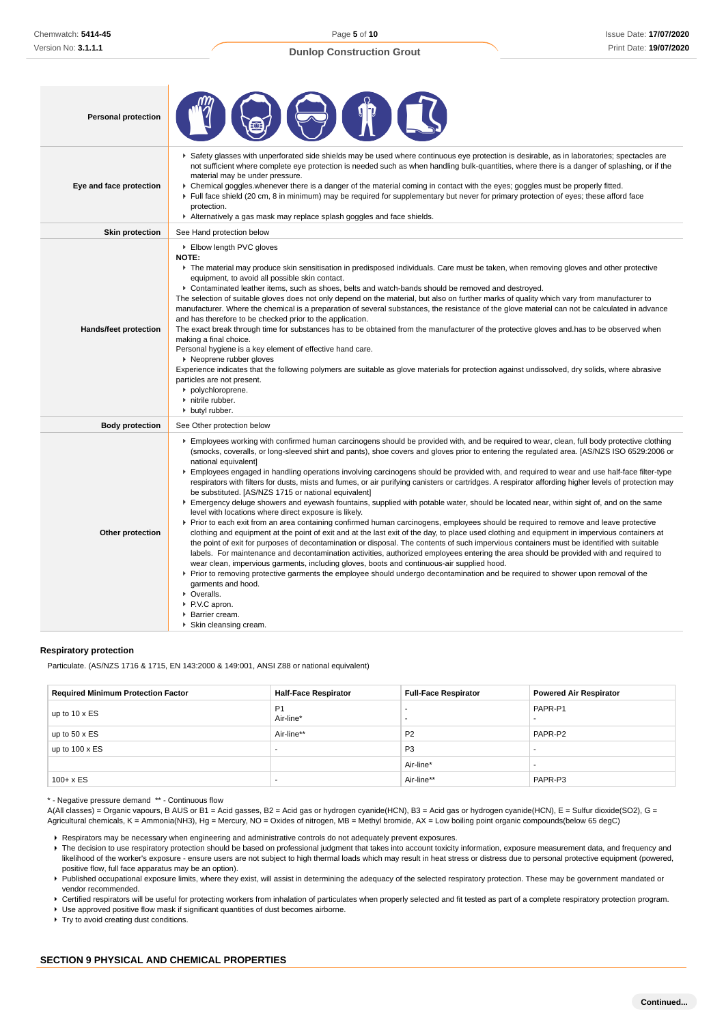Page **5** of **10**

# **Dunlop Construction Grout**

| <b>Personal protection</b> |                                                                                                                                                                                                                                                                                                                                                                                                                                                                                                                                                                                                                                                                                                                                                                                                                                                                                                                                                                                                                                                                                                                                                                                                                                                                                                                                                                                                                                                                                                                                                                                                                                                                                                                                                                                                        |
|----------------------------|--------------------------------------------------------------------------------------------------------------------------------------------------------------------------------------------------------------------------------------------------------------------------------------------------------------------------------------------------------------------------------------------------------------------------------------------------------------------------------------------------------------------------------------------------------------------------------------------------------------------------------------------------------------------------------------------------------------------------------------------------------------------------------------------------------------------------------------------------------------------------------------------------------------------------------------------------------------------------------------------------------------------------------------------------------------------------------------------------------------------------------------------------------------------------------------------------------------------------------------------------------------------------------------------------------------------------------------------------------------------------------------------------------------------------------------------------------------------------------------------------------------------------------------------------------------------------------------------------------------------------------------------------------------------------------------------------------------------------------------------------------------------------------------------------------|
| Eye and face protection    | Safety glasses with unperforated side shields may be used where continuous eye protection is desirable, as in laboratories; spectacles are<br>not sufficient where complete eye protection is needed such as when handling bulk-quantities, where there is a danger of splashing, or if the<br>material may be under pressure.<br>► Chemical goggles whenever there is a danger of the material coming in contact with the eyes; goggles must be properly fitted.<br>Full face shield (20 cm, 8 in minimum) may be required for supplementary but never for primary protection of eyes; these afford face<br>protection.<br>Alternatively a gas mask may replace splash goggles and face shields.                                                                                                                                                                                                                                                                                                                                                                                                                                                                                                                                                                                                                                                                                                                                                                                                                                                                                                                                                                                                                                                                                                      |
| <b>Skin protection</b>     | See Hand protection below                                                                                                                                                                                                                                                                                                                                                                                                                                                                                                                                                                                                                                                                                                                                                                                                                                                                                                                                                                                                                                                                                                                                                                                                                                                                                                                                                                                                                                                                                                                                                                                                                                                                                                                                                                              |
| Hands/feet protection      | Elbow length PVC gloves<br><b>NOTE:</b><br>The material may produce skin sensitisation in predisposed individuals. Care must be taken, when removing gloves and other protective<br>equipment, to avoid all possible skin contact.<br>▶ Contaminated leather items, such as shoes, belts and watch-bands should be removed and destroyed.<br>The selection of suitable gloves does not only depend on the material, but also on further marks of quality which vary from manufacturer to<br>manufacturer. Where the chemical is a preparation of several substances, the resistance of the glove material can not be calculated in advance<br>and has therefore to be checked prior to the application.<br>The exact break through time for substances has to be obtained from the manufacturer of the protective gloves and has to be observed when<br>making a final choice.<br>Personal hygiene is a key element of effective hand care.<br>▶ Neoprene rubber gloves<br>Experience indicates that the following polymers are suitable as glove materials for protection against undissolved, dry solids, where abrasive<br>particles are not present.<br>polychloroprene.<br>nitrile rubber.<br>butyl rubber.                                                                                                                                                                                                                                                                                                                                                                                                                                                                                                                                                                                       |
| <b>Body protection</b>     | See Other protection below                                                                                                                                                                                                                                                                                                                                                                                                                                                                                                                                                                                                                                                                                                                                                                                                                                                                                                                                                                                                                                                                                                                                                                                                                                                                                                                                                                                                                                                                                                                                                                                                                                                                                                                                                                             |
| Other protection           | Employees working with confirmed human carcinogens should be provided with, and be required to wear, clean, full body protective clothing<br>(smocks, coveralls, or long-sleeved shirt and pants), shoe covers and gloves prior to entering the regulated area. [AS/NZS ISO 6529:2006 or<br>national equivalent]<br>Employees engaged in handling operations involving carcinogens should be provided with, and required to wear and use half-face filter-type<br>respirators with filters for dusts, mists and fumes, or air purifying canisters or cartridges. A respirator affording higher levels of protection may<br>be substituted. [AS/NZS 1715 or national equivalent]<br>Emergency deluge showers and eyewash fountains, supplied with potable water, should be located near, within sight of, and on the same<br>level with locations where direct exposure is likely.<br>▶ Prior to each exit from an area containing confirmed human carcinogens, employees should be required to remove and leave protective<br>clothing and equipment at the point of exit and at the last exit of the day, to place used clothing and equipment in impervious containers at<br>the point of exit for purposes of decontamination or disposal. The contents of such impervious containers must be identified with suitable<br>labels. For maintenance and decontamination activities, authorized employees entering the area should be provided with and required to<br>wear clean, impervious garments, including gloves, boots and continuous-air supplied hood.<br>▶ Prior to removing protective garments the employee should undergo decontamination and be required to shower upon removal of the<br>garments and hood.<br>• Overalls.<br>P.V.C apron.<br>Barrier cream.<br>Skin cleansing cream. |

### **Respiratory protection**

Particulate. (AS/NZS 1716 & 1715, EN 143:2000 & 149:001, ANSI Z88 or national equivalent)

| <b>Required Minimum Protection Factor</b> | <b>Half-Face Respirator</b> | <b>Full-Face Respirator</b> | <b>Powered Air Respirator</b> |
|-------------------------------------------|-----------------------------|-----------------------------|-------------------------------|
| up to $10 \times ES$                      | P <sub>1</sub><br>Air-line* |                             | PAPR-P1                       |
| up to $50 \times ES$                      | Air-line**                  | P <sub>2</sub>              | PAPR-P2                       |
| up to $100 \times ES$                     | -                           | P <sub>3</sub>              |                               |
|                                           |                             | Air-line*                   |                               |
| $100 + x ES$                              | -                           | Air-line**                  | PAPR-P3                       |

\* - Negative pressure demand \*\* - Continuous flow

A(All classes) = Organic vapours, B AUS or B1 = Acid gasses, B2 = Acid gas or hydrogen cyanide(HCN), B3 = Acid gas or hydrogen cyanide(HCN), E = Sulfur dioxide(SO2), G = Agricultural chemicals, K = Ammonia(NH3), Hg = Mercury, NO = Oxides of nitrogen, MB = Methyl bromide, AX = Low boiling point organic compounds(below 65 degC)

Respirators may be necessary when engineering and administrative controls do not adequately prevent exposures.

▶ The decision to use respiratory protection should be based on professional judgment that takes into account toxicity information, exposure measurement data, and frequency and likelihood of the worker's exposure - ensure users are not subject to high thermal loads which may result in heat stress or distress due to personal protective equipment (powered, positive flow, full face apparatus may be an option).

Published occupational exposure limits, where they exist, will assist in determining the adequacy of the selected respiratory protection. These may be government mandated or vendor recommended.

▶ Certified respirators will be useful for protecting workers from inhalation of particulates when properly selected and fit tested as part of a complete respiratory protection program.

Use approved positive flow mask if significant quantities of dust becomes airborne.

▶ Try to avoid creating dust conditions.

## **SECTION 9 PHYSICAL AND CHEMICAL PROPERTIES**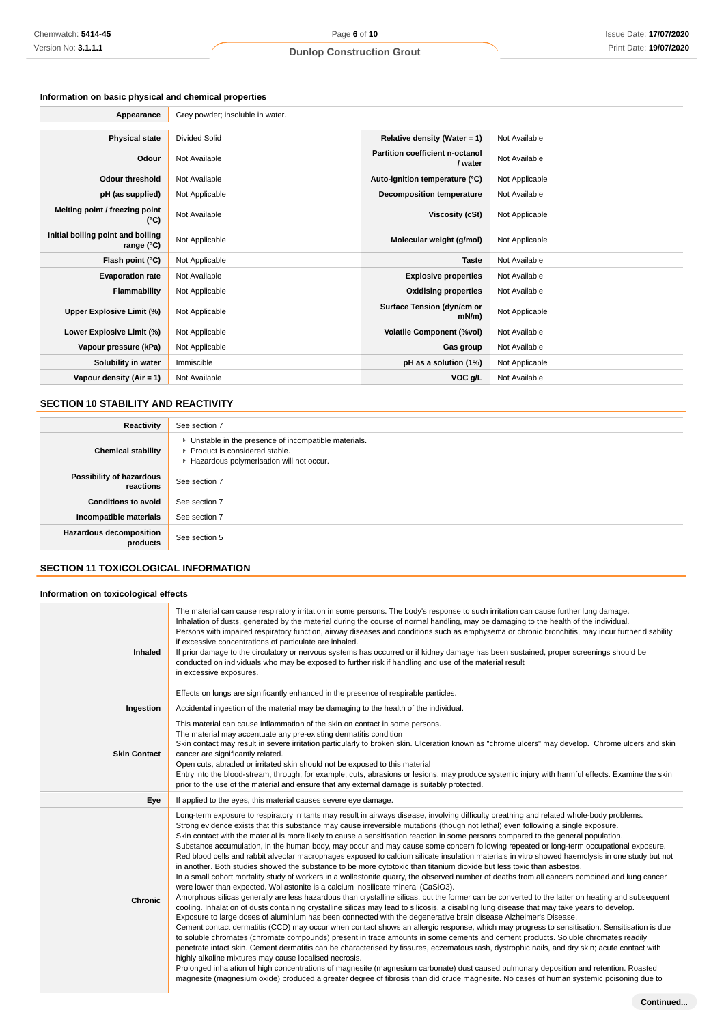# **Information on basic physical and chemical properties**

| Appearance                                      | Grey powder; insoluble in water. |                                            |                |
|-------------------------------------------------|----------------------------------|--------------------------------------------|----------------|
|                                                 |                                  |                                            |                |
| <b>Physical state</b>                           | Divided Solid                    | Relative density (Water = 1)               | Not Available  |
| Odour                                           | Not Available                    | Partition coefficient n-octanol<br>/ water | Not Available  |
| <b>Odour threshold</b>                          | Not Available                    | Auto-ignition temperature (°C)             | Not Applicable |
| pH (as supplied)                                | Not Applicable                   | <b>Decomposition temperature</b>           | Not Available  |
| Melting point / freezing point<br>(°C)          | Not Available                    | Viscosity (cSt)                            | Not Applicable |
| Initial boiling point and boiling<br>range (°C) | Not Applicable                   | Molecular weight (g/mol)                   | Not Applicable |
| Flash point (°C)                                | Not Applicable                   | <b>Taste</b>                               | Not Available  |
| <b>Evaporation rate</b>                         | Not Available                    | <b>Explosive properties</b>                | Not Available  |
| Flammability                                    | Not Applicable                   | <b>Oxidising properties</b>                | Not Available  |
| Upper Explosive Limit (%)                       | Not Applicable                   | Surface Tension (dyn/cm or<br>$mN/m$ )     | Not Applicable |
| Lower Explosive Limit (%)                       | Not Applicable                   | <b>Volatile Component (%vol)</b>           | Not Available  |
| Vapour pressure (kPa)                           | Not Applicable                   | Gas group                                  | Not Available  |
| Solubility in water                             | Immiscible                       | pH as a solution (1%)                      | Not Applicable |
| Vapour density $(Air = 1)$                      | Not Available                    | VOC g/L                                    | Not Available  |

# **SECTION 10 STABILITY AND REACTIVITY**

| Reactivity                                 | See section 7                                                                                                                        |
|--------------------------------------------|--------------------------------------------------------------------------------------------------------------------------------------|
| <b>Chemical stability</b>                  | • Unstable in the presence of incompatible materials.<br>▶ Product is considered stable.<br>Hazardous polymerisation will not occur. |
| Possibility of hazardous<br>reactions      | See section 7                                                                                                                        |
| <b>Conditions to avoid</b>                 | See section 7                                                                                                                        |
| Incompatible materials                     | See section 7                                                                                                                        |
| <b>Hazardous decomposition</b><br>products | See section 5                                                                                                                        |

# **SECTION 11 TOXICOLOGICAL INFORMATION**

## **Information on toxicological effects**

| Inhaled             | The material can cause respiratory irritation in some persons. The body's response to such irritation can cause further lung damage.<br>Inhalation of dusts, generated by the material during the course of normal handling, may be damaging to the health of the individual.<br>Persons with impaired respiratory function, airway diseases and conditions such as emphysema or chronic bronchitis, may incur further disability<br>if excessive concentrations of particulate are inhaled.<br>If prior damage to the circulatory or nervous systems has occurred or if kidney damage has been sustained, proper screenings should be<br>conducted on individuals who may be exposed to further risk if handling and use of the material result<br>in excessive exposures.<br>Effects on lungs are significantly enhanced in the presence of respirable particles.                                                                                                                                                                                                                                                                                                                                                                                                                                                                                                                                                                                                                                                                                                                                                                                                                                                                                                                                                                                                                                                                                                                                                                                                                                                                                                                                                                                                                                |
|---------------------|----------------------------------------------------------------------------------------------------------------------------------------------------------------------------------------------------------------------------------------------------------------------------------------------------------------------------------------------------------------------------------------------------------------------------------------------------------------------------------------------------------------------------------------------------------------------------------------------------------------------------------------------------------------------------------------------------------------------------------------------------------------------------------------------------------------------------------------------------------------------------------------------------------------------------------------------------------------------------------------------------------------------------------------------------------------------------------------------------------------------------------------------------------------------------------------------------------------------------------------------------------------------------------------------------------------------------------------------------------------------------------------------------------------------------------------------------------------------------------------------------------------------------------------------------------------------------------------------------------------------------------------------------------------------------------------------------------------------------------------------------------------------------------------------------------------------------------------------------------------------------------------------------------------------------------------------------------------------------------------------------------------------------------------------------------------------------------------------------------------------------------------------------------------------------------------------------------------------------------------------------------------------------------------------------|
| Ingestion           | Accidental ingestion of the material may be damaging to the health of the individual.                                                                                                                                                                                                                                                                                                                                                                                                                                                                                                                                                                                                                                                                                                                                                                                                                                                                                                                                                                                                                                                                                                                                                                                                                                                                                                                                                                                                                                                                                                                                                                                                                                                                                                                                                                                                                                                                                                                                                                                                                                                                                                                                                                                                              |
| <b>Skin Contact</b> | This material can cause inflammation of the skin on contact in some persons.<br>The material may accentuate any pre-existing dermatitis condition<br>Skin contact may result in severe irritation particularly to broken skin. Ulceration known as "chrome ulcers" may develop. Chrome ulcers and skin<br>cancer are significantly related.<br>Open cuts, abraded or irritated skin should not be exposed to this material<br>Entry into the blood-stream, through, for example, cuts, abrasions or lesions, may produce systemic injury with harmful effects. Examine the skin<br>prior to the use of the material and ensure that any external damage is suitably protected.                                                                                                                                                                                                                                                                                                                                                                                                                                                                                                                                                                                                                                                                                                                                                                                                                                                                                                                                                                                                                                                                                                                                                                                                                                                                                                                                                                                                                                                                                                                                                                                                                     |
| Eye                 | If applied to the eyes, this material causes severe eye damage.                                                                                                                                                                                                                                                                                                                                                                                                                                                                                                                                                                                                                                                                                                                                                                                                                                                                                                                                                                                                                                                                                                                                                                                                                                                                                                                                                                                                                                                                                                                                                                                                                                                                                                                                                                                                                                                                                                                                                                                                                                                                                                                                                                                                                                    |
| Chronic             | Long-term exposure to respiratory irritants may result in airways disease, involving difficulty breathing and related whole-body problems.<br>Strong evidence exists that this substance may cause irreversible mutations (though not lethal) even following a single exposure.<br>Skin contact with the material is more likely to cause a sensitisation reaction in some persons compared to the general population.<br>Substance accumulation, in the human body, may occur and may cause some concern following repeated or long-term occupational exposure.<br>Red blood cells and rabbit alveolar macrophages exposed to calcium silicate insulation materials in vitro showed haemolysis in one study but not<br>in another. Both studies showed the substance to be more cytotoxic than titanium dioxide but less toxic than asbestos.<br>In a small cohort mortality study of workers in a wollastonite quarry, the observed number of deaths from all cancers combined and lung cancer<br>were lower than expected. Wollastonite is a calcium inosilicate mineral (CaSiO3).<br>Amorphous silicas generally are less hazardous than crystalline silicas, but the former can be converted to the latter on heating and subsequent<br>cooling. Inhalation of dusts containing crystalline silicas may lead to silicosis, a disabling lung disease that may take years to develop.<br>Exposure to large doses of aluminium has been connected with the degenerative brain disease Alzheimer's Disease.<br>Cement contact dermatitis (CCD) may occur when contact shows an allergic response, which may progress to sensitisation. Sensitisation is due<br>to soluble chromates (chromate compounds) present in trace amounts in some cements and cement products. Soluble chromates readily<br>penetrate intact skin. Cement dermatitis can be characterised by fissures, eczematous rash, dystrophic nails, and dry skin; acute contact with<br>highly alkaline mixtures may cause localised necrosis.<br>Prolonged inhalation of high concentrations of magnesite (magnesium carbonate) dust caused pulmonary deposition and retention. Roasted<br>magnesite (magnesium oxide) produced a greater degree of fibrosis than did crude magnesite. No cases of human systemic poisoning due to |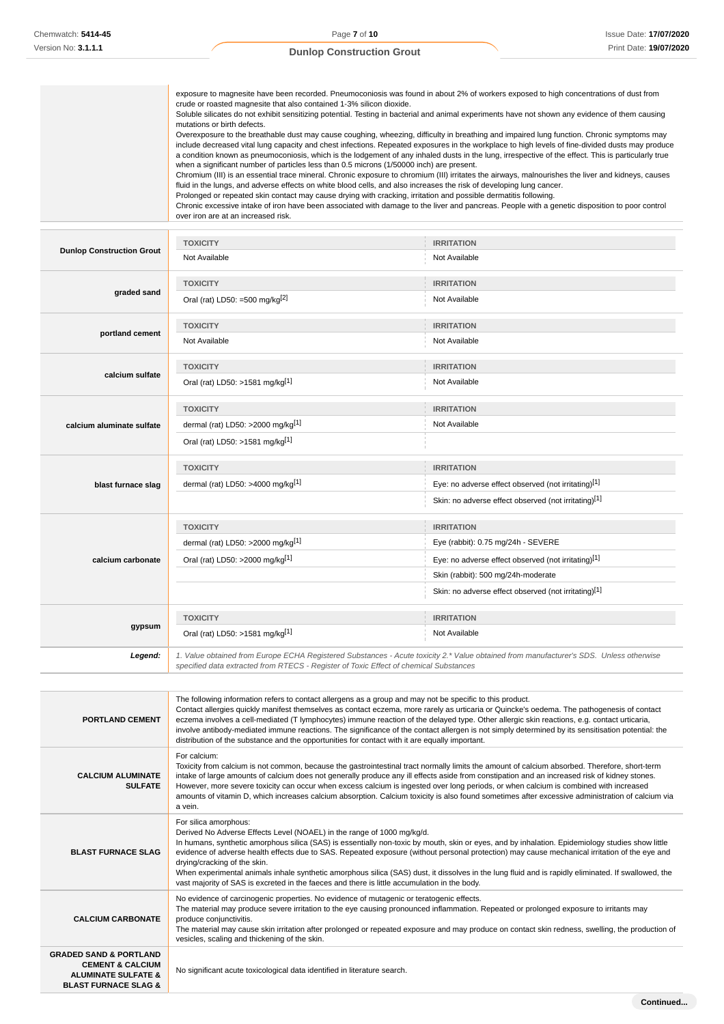|                                                                          | exposure to magnesite have been recorded. Pneumoconiosis was found in about 2% of workers exposed to high concentrations of dust from<br>crude or roasted magnesite that also contained 1-3% silicon dioxide.<br>Soluble silicates do not exhibit sensitizing potential. Testing in bacterial and animal experiments have not shown any evidence of them causing<br>mutations or birth defects.<br>Overexposure to the breathable dust may cause coughing, wheezing, difficulty in breathing and impaired lung function. Chronic symptoms may<br>include decreased vital lung capacity and chest infections. Repeated exposures in the workplace to high levels of fine-divided dusts may produce<br>a condition known as pneumoconiosis, which is the lodgement of any inhaled dusts in the lung, irrespective of the effect. This is particularly true<br>when a significant number of particles less than 0.5 microns (1/50000 inch) are present.<br>Chromium (III) is an essential trace mineral. Chronic exposure to chromium (III) irritates the airways, malnourishes the liver and kidneys, causes<br>fluid in the lungs, and adverse effects on white blood cells, and also increases the risk of developing lung cancer.<br>Prolonged or repeated skin contact may cause drying with cracking, irritation and possible dermatitis following.<br>Chronic excessive intake of iron have been associated with damage to the liver and pancreas. People with a genetic disposition to poor control<br>over iron are at an increased risk. |                                                      |  |  |
|--------------------------------------------------------------------------|-------------------------------------------------------------------------------------------------------------------------------------------------------------------------------------------------------------------------------------------------------------------------------------------------------------------------------------------------------------------------------------------------------------------------------------------------------------------------------------------------------------------------------------------------------------------------------------------------------------------------------------------------------------------------------------------------------------------------------------------------------------------------------------------------------------------------------------------------------------------------------------------------------------------------------------------------------------------------------------------------------------------------------------------------------------------------------------------------------------------------------------------------------------------------------------------------------------------------------------------------------------------------------------------------------------------------------------------------------------------------------------------------------------------------------------------------------------------------------------------------------------------------------------------------|------------------------------------------------------|--|--|
| <b>TOXICITY</b><br><b>IRRITATION</b><br><b>Dunlop Construction Grout</b> |                                                                                                                                                                                                                                                                                                                                                                                                                                                                                                                                                                                                                                                                                                                                                                                                                                                                                                                                                                                                                                                                                                                                                                                                                                                                                                                                                                                                                                                                                                                                                 |                                                      |  |  |
|                                                                          | Not Available                                                                                                                                                                                                                                                                                                                                                                                                                                                                                                                                                                                                                                                                                                                                                                                                                                                                                                                                                                                                                                                                                                                                                                                                                                                                                                                                                                                                                                                                                                                                   | Not Available                                        |  |  |
|                                                                          | <b>TOXICITY</b>                                                                                                                                                                                                                                                                                                                                                                                                                                                                                                                                                                                                                                                                                                                                                                                                                                                                                                                                                                                                                                                                                                                                                                                                                                                                                                                                                                                                                                                                                                                                 | <b>IRRITATION</b>                                    |  |  |
| graded sand                                                              | Oral (rat) LD50: =500 mg/kg $^{[2]}$                                                                                                                                                                                                                                                                                                                                                                                                                                                                                                                                                                                                                                                                                                                                                                                                                                                                                                                                                                                                                                                                                                                                                                                                                                                                                                                                                                                                                                                                                                            | Not Available                                        |  |  |
| portland cement                                                          | <b>TOXICITY</b>                                                                                                                                                                                                                                                                                                                                                                                                                                                                                                                                                                                                                                                                                                                                                                                                                                                                                                                                                                                                                                                                                                                                                                                                                                                                                                                                                                                                                                                                                                                                 | <b>IRRITATION</b>                                    |  |  |
|                                                                          | Not Available                                                                                                                                                                                                                                                                                                                                                                                                                                                                                                                                                                                                                                                                                                                                                                                                                                                                                                                                                                                                                                                                                                                                                                                                                                                                                                                                                                                                                                                                                                                                   | Not Available                                        |  |  |
|                                                                          | <b>TOXICITY</b>                                                                                                                                                                                                                                                                                                                                                                                                                                                                                                                                                                                                                                                                                                                                                                                                                                                                                                                                                                                                                                                                                                                                                                                                                                                                                                                                                                                                                                                                                                                                 | <b>IRRITATION</b>                                    |  |  |
| calcium sulfate                                                          | Oral (rat) LD50: >1581 mg/kg[1]                                                                                                                                                                                                                                                                                                                                                                                                                                                                                                                                                                                                                                                                                                                                                                                                                                                                                                                                                                                                                                                                                                                                                                                                                                                                                                                                                                                                                                                                                                                 | Not Available                                        |  |  |
|                                                                          | <b>TOXICITY</b>                                                                                                                                                                                                                                                                                                                                                                                                                                                                                                                                                                                                                                                                                                                                                                                                                                                                                                                                                                                                                                                                                                                                                                                                                                                                                                                                                                                                                                                                                                                                 | <b>IRRITATION</b>                                    |  |  |
| calcium aluminate sulfate                                                | dermal (rat) LD50: >2000 mg/kg <sup>[1]</sup>                                                                                                                                                                                                                                                                                                                                                                                                                                                                                                                                                                                                                                                                                                                                                                                                                                                                                                                                                                                                                                                                                                                                                                                                                                                                                                                                                                                                                                                                                                   | Not Available                                        |  |  |
|                                                                          | Oral (rat) LD50: >1581 mg/kg[1]                                                                                                                                                                                                                                                                                                                                                                                                                                                                                                                                                                                                                                                                                                                                                                                                                                                                                                                                                                                                                                                                                                                                                                                                                                                                                                                                                                                                                                                                                                                 |                                                      |  |  |
|                                                                          | <b>TOXICITY</b>                                                                                                                                                                                                                                                                                                                                                                                                                                                                                                                                                                                                                                                                                                                                                                                                                                                                                                                                                                                                                                                                                                                                                                                                                                                                                                                                                                                                                                                                                                                                 | <b>IRRITATION</b>                                    |  |  |
| blast furnace slag                                                       | dermal (rat) LD50: >4000 mg/kg $^{11}$                                                                                                                                                                                                                                                                                                                                                                                                                                                                                                                                                                                                                                                                                                                                                                                                                                                                                                                                                                                                                                                                                                                                                                                                                                                                                                                                                                                                                                                                                                          | Eye: no adverse effect observed (not irritating)[1]  |  |  |
|                                                                          |                                                                                                                                                                                                                                                                                                                                                                                                                                                                                                                                                                                                                                                                                                                                                                                                                                                                                                                                                                                                                                                                                                                                                                                                                                                                                                                                                                                                                                                                                                                                                 | Skin: no adverse effect observed (not irritating)[1] |  |  |
|                                                                          | <b>TOXICITY</b>                                                                                                                                                                                                                                                                                                                                                                                                                                                                                                                                                                                                                                                                                                                                                                                                                                                                                                                                                                                                                                                                                                                                                                                                                                                                                                                                                                                                                                                                                                                                 | <b>IRRITATION</b>                                    |  |  |
|                                                                          |                                                                                                                                                                                                                                                                                                                                                                                                                                                                                                                                                                                                                                                                                                                                                                                                                                                                                                                                                                                                                                                                                                                                                                                                                                                                                                                                                                                                                                                                                                                                                 |                                                      |  |  |

|                   | <b>TOXICITY</b>                                                                                                                                                                                                                 | <b>IRRITATION</b>                                    |  |
|-------------------|---------------------------------------------------------------------------------------------------------------------------------------------------------------------------------------------------------------------------------|------------------------------------------------------|--|
| calcium carbonate | dermal (rat) LD50: >2000 mg/kg $[1]$                                                                                                                                                                                            | Eye (rabbit): 0.75 mg/24h - SEVERE                   |  |
|                   | Oral (rat) LD50: >2000 mg/kg[1]                                                                                                                                                                                                 | Eye: no adverse effect observed (not irritating)[1]  |  |
|                   |                                                                                                                                                                                                                                 | Skin (rabbit): 500 mg/24h-moderate                   |  |
|                   |                                                                                                                                                                                                                                 | Skin: no adverse effect observed (not irritating)[1] |  |
|                   | <b>TOXICITY</b>                                                                                                                                                                                                                 | <b>IRRITATION</b>                                    |  |
| gypsum            | Oral (rat) LD50: >1581 mg/kg[1]                                                                                                                                                                                                 | Not Available                                        |  |
| Legend:           | 1. Value obtained from Europe ECHA Registered Substances - Acute toxicity 2.* Value obtained from manufacturer's SDS. Unless otherwise<br>specified data extracted from RTECS - Register of Toxic Effect of chemical Substances |                                                      |  |

**PORTLAND CEMENT** The following information refers to contact allergens as a group and may not be specific to this product. Contact allergies quickly manifest themselves as contact eczema, more rarely as urticaria or Quincke's oedema. The pathogenesis of contact eczema involves a cell-mediated (T lymphocytes) immune reaction of the delayed type. Other allergic skin reactions, e.g. contact urticaria, involve antibody-mediated immune reactions. The significance of the contact allergen is not simply determined by its sensitisation potential: the distribution of the substance and the opportunities for contact with it are equally important. **CALCIUM ALUMINATE SULFATE** For calcium: Toxicity from calcium is not common, because the gastrointestinal tract normally limits the amount of calcium absorbed. Therefore, short-term intake of large amounts of calcium does not generally produce any ill effects aside from constipation and an increased risk of kidney stones. However, more severe toxicity can occur when excess calcium is ingested over long periods, or when calcium is combined with increased amounts of vitamin D, which increases calcium absorption. Calcium toxicity is also found sometimes after excessive administration of calcium via a vein. **BLAST FURNACE SLAG** For silica amorphous: Derived No Adverse Effects Level (NOAEL) in the range of 1000 mg/kg/d. In humans, synthetic amorphous silica (SAS) is essentially non-toxic by mouth, skin or eyes, and by inhalation. Epidemiology studies show little evidence of adverse health effects due to SAS. Repeated exposure (without personal protection) may cause mechanical irritation of the eye and drying/cracking of the skin. When experimental animals inhale synthetic amorphous silica (SAS) dust, it dissolves in the lung fluid and is rapidly eliminated. If swallowed, the vast majority of SAS is excreted in the faeces and there is little accumulation in the body. **CALCIUM CARBONATE** No evidence of carcinogenic properties. No evidence of mutagenic or teratogenic effects. The material may produce severe irritation to the eye causing pronounced inflammation. Repeated or prolonged exposure to irritants may produce conjunctivitis. .<br>The material may cause skin irritation after prolonged or repeated exposure and may produce on contact skin redness, swelling, the production of vesicles, scaling and thickening of the skin. **GRADED SAND & PORTLAND CEMENT & CALCIUM ALUMINATE SULFATE & BLAST FURNACE SLAG &** No significant acute toxicological data identified in literature search.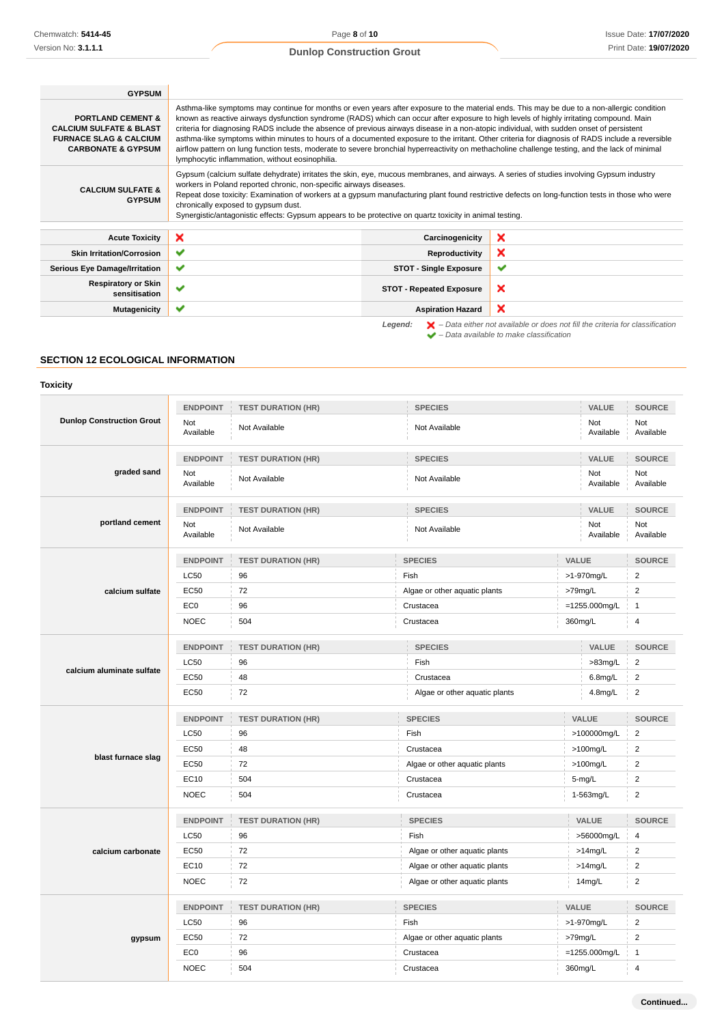| <b>GYPSUM</b>                                                                                                                            |                                                                                                                                                                                                                                                                                                                                                                                                                                                                                                                                                                                                                                                                                                                                                                                              |                                 |                                                                                                                                                                     |
|------------------------------------------------------------------------------------------------------------------------------------------|----------------------------------------------------------------------------------------------------------------------------------------------------------------------------------------------------------------------------------------------------------------------------------------------------------------------------------------------------------------------------------------------------------------------------------------------------------------------------------------------------------------------------------------------------------------------------------------------------------------------------------------------------------------------------------------------------------------------------------------------------------------------------------------------|---------------------------------|---------------------------------------------------------------------------------------------------------------------------------------------------------------------|
| <b>PORTLAND CEMENT &amp;</b><br><b>CALCIUM SULFATE &amp; BLAST</b><br><b>FURNACE SLAG &amp; CALCIUM</b><br><b>CARBONATE &amp; GYPSUM</b> | Asthma-like symptoms may continue for months or even years after exposure to the material ends. This may be due to a non-allergic condition<br>known as reactive airways dysfunction syndrome (RADS) which can occur after exposure to high levels of highly irritating compound. Main<br>criteria for diagnosing RADS include the absence of previous airways disease in a non-atopic individual, with sudden onset of persistent<br>asthma-like symptoms within minutes to hours of a documented exposure to the irritant. Other criteria for diagnosis of RADS include a reversible<br>airflow pattern on lung function tests, moderate to severe bronchial hyperreactivity on methacholine challenge testing, and the lack of minimal<br>lymphocytic inflammation, without eosinophilia. |                                 |                                                                                                                                                                     |
| <b>CALCIUM SULFATE &amp;</b><br><b>GYPSUM</b>                                                                                            | Gypsum (calcium sulfate dehydrate) irritates the skin, eye, mucous membranes, and airways. A series of studies involving Gypsum industry<br>workers in Poland reported chronic, non-specific airways diseases.<br>Repeat dose toxicity: Examination of workers at a gypsum manufacturing plant found restrictive defects on long-function tests in those who were<br>chronically exposed to gypsum dust.<br>Synergistic/antagonistic effects: Gypsum appears to be protective on quartz toxicity in animal testing.                                                                                                                                                                                                                                                                          |                                 |                                                                                                                                                                     |
| <b>Acute Toxicity</b>                                                                                                                    | ×                                                                                                                                                                                                                                                                                                                                                                                                                                                                                                                                                                                                                                                                                                                                                                                            | Carcinogenicity                 | ×                                                                                                                                                                   |
| <b>Skin Irritation/Corrosion</b>                                                                                                         | ✔                                                                                                                                                                                                                                                                                                                                                                                                                                                                                                                                                                                                                                                                                                                                                                                            | Reproductivity                  | ×                                                                                                                                                                   |
| <b>Serious Eye Damage/Irritation</b>                                                                                                     | ✔                                                                                                                                                                                                                                                                                                                                                                                                                                                                                                                                                                                                                                                                                                                                                                                            | <b>STOT - Single Exposure</b>   | ✔                                                                                                                                                                   |
| <b>Respiratory or Skin</b><br>sensitisation                                                                                              | $\checkmark$                                                                                                                                                                                                                                                                                                                                                                                                                                                                                                                                                                                                                                                                                                                                                                                 | <b>STOT - Repeated Exposure</b> | ×                                                                                                                                                                   |
| <b>Mutagenicity</b>                                                                                                                      | ✔                                                                                                                                                                                                                                                                                                                                                                                                                                                                                                                                                                                                                                                                                                                                                                                            | <b>Aspiration Hazard</b>        | ×                                                                                                                                                                   |
|                                                                                                                                          |                                                                                                                                                                                                                                                                                                                                                                                                                                                                                                                                                                                                                                                                                                                                                                                              | Legend:                         | $\blacktriangleright$ - Data either not available or does not fill the criteria for classification<br>$\blacktriangleright$ - Data available to make classification |

# **SECTION 12 ECOLOGICAL INFORMATION**

| Toxicity                         |                  |                                             |                               |            |                  |                         |
|----------------------------------|------------------|---------------------------------------------|-------------------------------|------------|------------------|-------------------------|
|                                  | <b>ENDPOINT</b>  | <b>TEST DURATION (HR)</b>                   | <b>SPECIES</b>                |            | VALUE            | <b>SOURCE</b>           |
| <b>Dunlop Construction Grout</b> | Not<br>Available | Not Available                               | Not Available                 |            | Not<br>Available | Not<br>Available        |
| graded sand                      | <b>ENDPOINT</b>  | <b>SPECIES</b><br><b>TEST DURATION (HR)</b> |                               | VALUE      |                  | <b>SOURCE</b>           |
|                                  | Not<br>Available | Not Available                               | Not Available                 |            | Not<br>Available | Not<br>Available        |
|                                  | <b>ENDPOINT</b>  | <b>TEST DURATION (HR)</b>                   | <b>SPECIES</b>                |            | VALUE            | <b>SOURCE</b>           |
| portland cement                  | Not<br>Available | Not Available                               | Not Available                 |            | Not<br>Available | Not<br>Available        |
|                                  | <b>ENDPOINT</b>  | <b>TEST DURATION (HR)</b>                   | <b>SPECIES</b>                | VALUE      |                  | <b>SOURCE</b>           |
|                                  | LC50             | 96                                          | Fish                          |            | >1-970mg/L       | $\overline{2}$          |
| calcium sulfate                  | <b>EC50</b>      | 72                                          | Algae or other aquatic plants | >79mg/L    |                  | $\overline{2}$          |
|                                  | EC <sub>0</sub>  | 96                                          | Crustacea                     |            | $=1255.000$ mg/L | $\mathbf{1}$            |
|                                  | <b>NOEC</b>      | 504                                         | Crustacea                     | 360mg/L    |                  | $\overline{4}$          |
|                                  | <b>ENDPOINT</b>  | <b>TEST DURATION (HR)</b>                   | <b>SPECIES</b>                |            | VALUE            | <b>SOURCE</b>           |
|                                  | <b>LC50</b>      | 96                                          | Fish                          |            | $>83$ mg/L       | $\overline{2}$          |
| calcium aluminate sulfate        | EC50             | 48                                          | Crustacea                     |            | 6.8mg/L          | $\overline{\mathbf{c}}$ |
|                                  | EC50             | 72                                          | Algae or other aquatic plants |            | 4.8mg/L          | $\overline{2}$          |
|                                  | <b>ENDPOINT</b>  | <b>TEST DURATION (HR)</b>                   | <b>SPECIES</b>                |            | VALUE            | <b>SOURCE</b>           |
|                                  | LC50             | 96                                          | Fish                          |            | >100000mg/L      | $\overline{2}$          |
|                                  | EC50             | 48                                          | Crustacea                     | >100mg/L   |                  | $\overline{2}$          |
| blast furnace slag               | EC50             | 72                                          | Algae or other aquatic plants | >100mg/L   |                  | $\overline{2}$          |
|                                  | EC10             | 504                                         | Crustacea                     |            | 5-mg/L           | $\boldsymbol{2}$        |
|                                  | <b>NOEC</b>      | 504                                         | Crustacea                     | 1-563mg/L  |                  | $\overline{2}$          |
|                                  | <b>ENDPOINT</b>  | <b>TEST DURATION (HR)</b>                   | <b>SPECIES</b>                |            | VALUE            | <b>SOURCE</b>           |
|                                  | LC50             | 96                                          | Fish                          | >56000mg/L |                  | $\overline{4}$          |
| calcium carbonate                | <b>EC50</b>      | 72                                          | Algae or other aquatic plants | $>14$ mg/L |                  | $\overline{2}$          |
|                                  | EC10             | 72                                          | Algae or other aquatic plants | $>14$ mg/L |                  | $\overline{2}$          |
|                                  | <b>NOEC</b>      | 72                                          | Algae or other aquatic plants |            | 14mg/L           | $\overline{2}$          |
|                                  | <b>ENDPOINT</b>  | <b>TEST DURATION (HR)</b>                   | <b>SPECIES</b>                | VALUE      |                  | <b>SOURCE</b>           |
|                                  | LC50             | 96                                          | Fish                          | >1-970mg/L |                  | $\overline{2}$          |
| gypsum                           | <b>EC50</b>      | 72                                          | Algae or other aquatic plants |            | >79mg/L          |                         |
|                                  | EC <sub>0</sub>  | 96                                          | Crustacea                     |            | $=1255.000$ mg/L |                         |
|                                  | <b>NOEC</b>      | 504                                         | Crustacea                     | 360mg/L    |                  | 4                       |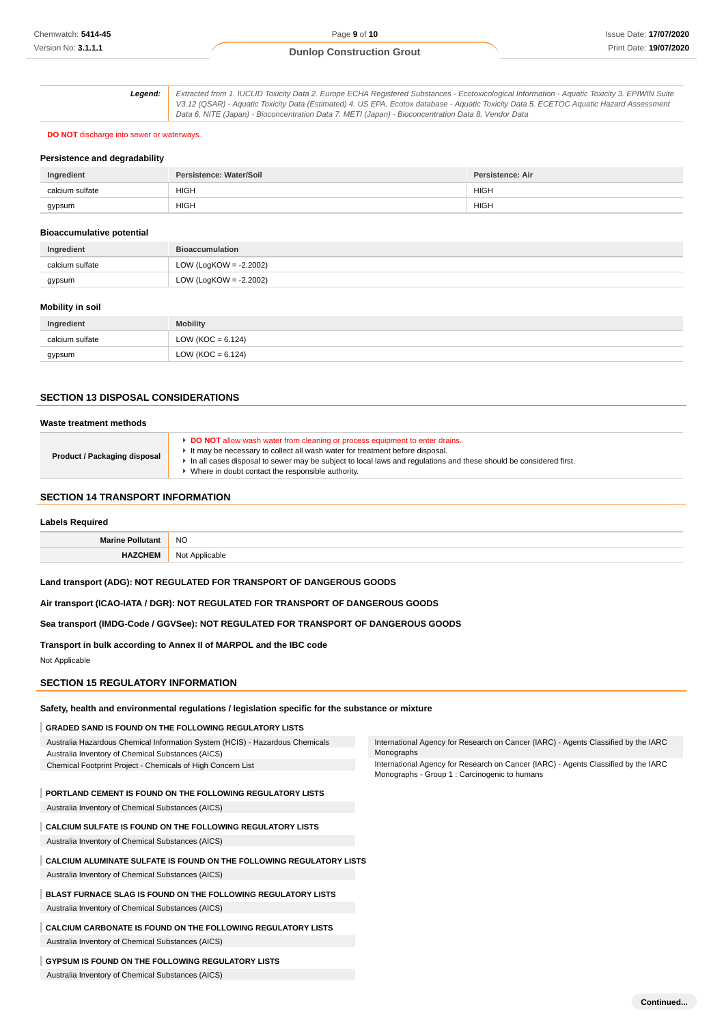**Legend:** Extracted from 1. IUCLID Toxicity Data 2. Europe ECHA Registered Substances - Ecotoxicological Information - Aquatic Toxicity 3. EPIWIN Suite V3.12 (QSAR) - Aquatic Toxicity Data (Estimated) 4. US EPA, Ecotox database - Aquatic Toxicity Data 5. ECETOC Aquatic Hazard Assessment Data 6. NITE (Japan) - Bioconcentration Data 7. METI (Japan) - Bioconcentration Data 8. Vendor Data

#### **DO NOT** discharge into sewer or waterways.

#### **Persistence and degradability**

| Ingredient      | Persistence: Water/Soil | <b>Persistence: Air</b> |
|-----------------|-------------------------|-------------------------|
| calcium sulfate | <b>HIGH</b>             | <b>HIGH</b>             |
| gypsum          | <b>HIGH</b>             | <b>HIGH</b>             |

### **Bioaccumulative potential**

| Ingredient      | <b>Bioaccumulation</b>    |
|-----------------|---------------------------|
| calcium sulfate | LOW (LogKOW = $-2.2002$ ) |
| gypsum          | LOW (LogKOW = -2.2002)    |

## **Mobility in soil**

| Ingredient      | <b>Mobility</b>       |
|-----------------|-----------------------|
| calcium sulfate | LOW ( $KOC = 6.124$ ) |
| gypsum          | LOW ( $KOC = 6.124$ ) |

# **SECTION 13 DISPOSAL CONSIDERATIONS**

| Waste treatment methods             |                                                                                                                                                                                                                                                                                                                                         |
|-------------------------------------|-----------------------------------------------------------------------------------------------------------------------------------------------------------------------------------------------------------------------------------------------------------------------------------------------------------------------------------------|
| <b>Product / Packaging disposal</b> | ► DO NOT allow wash water from cleaning or process equipment to enter drains.<br>It may be necessary to collect all wash water for treatment before disposal.<br>In all cases disposal to sewer may be subject to local laws and regulations and these should be considered first.<br>Where in doubt contact the responsible authority. |

## **SECTION 14 TRANSPORT INFORMATION**

## **Labels Required**

|        | <b>NO</b> |
|--------|-----------|
| ______ |           |

**Land transport (ADG): NOT REGULATED FOR TRANSPORT OF DANGEROUS GOODS**

**Air transport (ICAO-IATA / DGR): NOT REGULATED FOR TRANSPORT OF DANGEROUS GOODS**

**Sea transport (IMDG-Code / GGVSee): NOT REGULATED FOR TRANSPORT OF DANGEROUS GOODS**

**Transport in bulk according to Annex II of MARPOL and the IBC code** Not Applicable

## **SECTION 15 REGULATORY INFORMATION**

#### **Safety, health and environmental regulations / legislation specific for the substance or mixture**

### **GRADED SAND IS FOUND ON THE FOLLOWING REGULATORY LISTS**

Australia Hazardous Chemical Information System (HCIS) - Hazardous Chemicals Australia Inventory of Chemical Substances (AICS) Chemical Footprint Project - Chemicals of High Concern List

**PORTLAND CEMENT IS FOUND ON THE FOLLOWING REGULATORY LISTS**

Australia Inventory of Chemical Substances (AICS)

## **CALCIUM SULFATE IS FOUND ON THE FOLLOWING REGULATORY LISTS**

Australia Inventory of Chemical Substances (AICS)

## **CALCIUM ALUMINATE SULFATE IS FOUND ON THE FOLLOWING REGULATORY LISTS** Australia Inventory of Chemical Substances (AICS)

**BLAST FURNACE SLAG IS FOUND ON THE FOLLOWING REGULATORY LISTS**

Australia Inventory of Chemical Substances (AICS)

## **CALCIUM CARBONATE IS FOUND ON THE FOLLOWING REGULATORY LISTS** Australia Inventory of Chemical Substances (AICS)

#### **GYPSUM IS FOUND ON THE FOLLOWING REGULATORY LISTS**

Australia Inventory of Chemical Substances (AICS)

International Agency for Research on Cancer (IARC) - Agents Classified by the IARC Monographs

International Agency for Research on Cancer (IARC) - Agents Classified by the IARC Monographs - Group 1 : Carcinogenic to humans